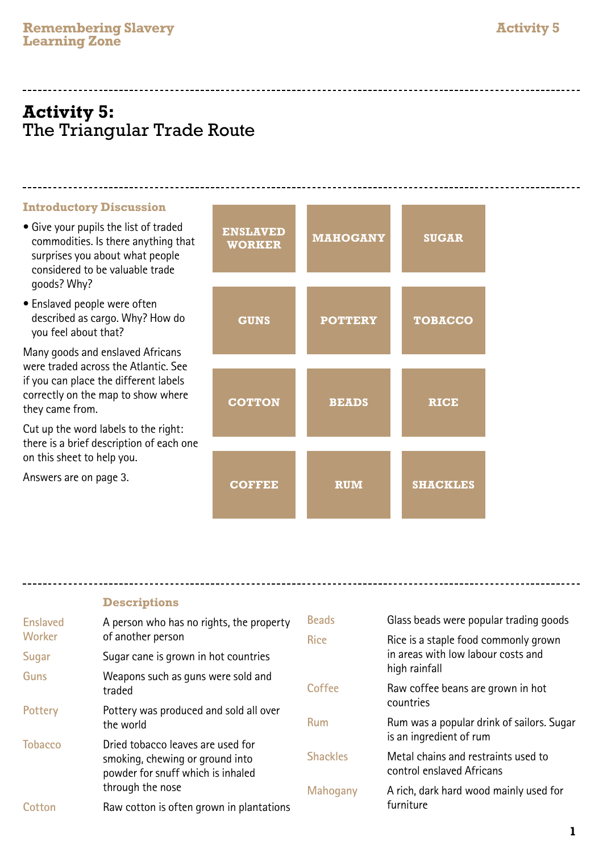# **Activity 5:** The Triangular Trade Route

#### **Introductory Discussion**

- Give your pupils the list of traded commodities. Is there anything that surprises you about what people considered to be valuable trade goods? Why?
- Enslaved people were often described as cargo. Why? How do you feel about that?

Many goods and enslaved Africans were traded across the Atlantic. See if you can place the different labels correctly on the map to show where they came from.

Cut up the word labels to the right: there is a brief description of each one on this sheet to help you.

Answers are on page 3.

| <b>ENSLAVED</b><br><b>WORKER</b> | <b>MAHOGANY</b> | <b>SUGAR</b>    |
|----------------------------------|-----------------|-----------------|
| <b>GUNS</b>                      | <b>POTTERY</b>  | <b>TOBACCO</b>  |
| <b>COTTON</b>                    | <b>BEADS</b>    | <b>RICE</b>     |
| <b>COFFEE</b>                    | <b>RUM</b>      | <b>SHACKLES</b> |

---------------------------

### **Descriptions**

| <b>Enslaved</b><br><b>Worker</b> | A person who has no rights, the property<br>of another person        | <b>Beads</b>    | Glass beads were popular trading goods                               |
|----------------------------------|----------------------------------------------------------------------|-----------------|----------------------------------------------------------------------|
|                                  |                                                                      | <b>Rice</b>     | Rice is a staple food commonly grown                                 |
| Sugar                            | Sugar cane is grown in hot countries                                 |                 | in areas with low labour costs and<br>high rainfall                  |
| <b>Guns</b>                      | Weapons such as guns were sold and<br>traded                         |                 |                                                                      |
|                                  |                                                                      | Coffee          | Raw coffee beans are grown in hot<br>countries                       |
| Pottery                          | Pottery was produced and sold all over<br>the world                  |                 |                                                                      |
|                                  |                                                                      | <b>Rum</b>      | Rum was a popular drink of sailors. Sugar<br>is an ingredient of rum |
| <b>Tobacco</b>                   | Dried tobacco leaves are used for                                    |                 |                                                                      |
|                                  | smoking, chewing or ground into<br>powder for snuff which is inhaled | <b>Shackles</b> | Metal chains and restraints used to<br>control enslaved Africans     |
|                                  | through the nose                                                     | Mahogany        | A rich, dark hard wood mainly used for                               |
| Cotton                           | Raw cotton is often grown in plantations                             |                 | furniture                                                            |
|                                  |                                                                      |                 |                                                                      |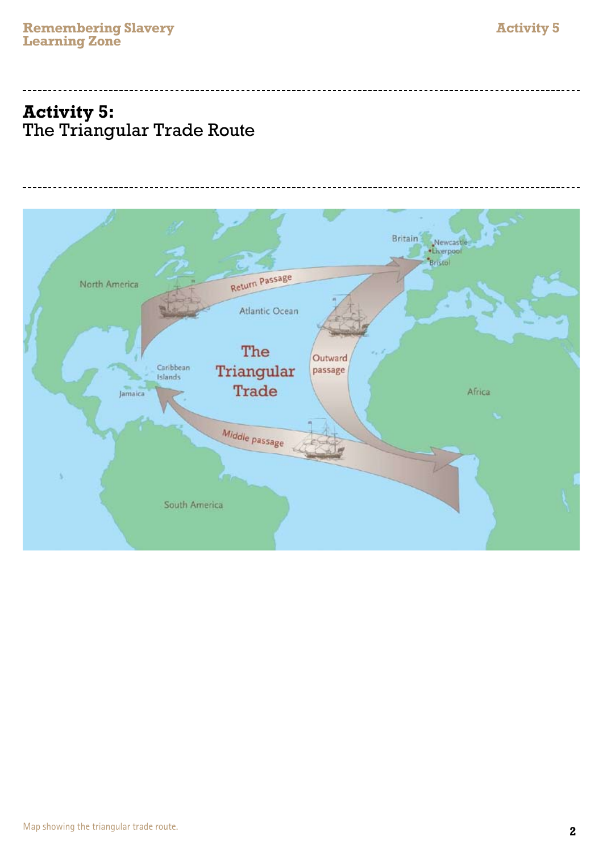# **Activity 5:** The Triangular Trade Route